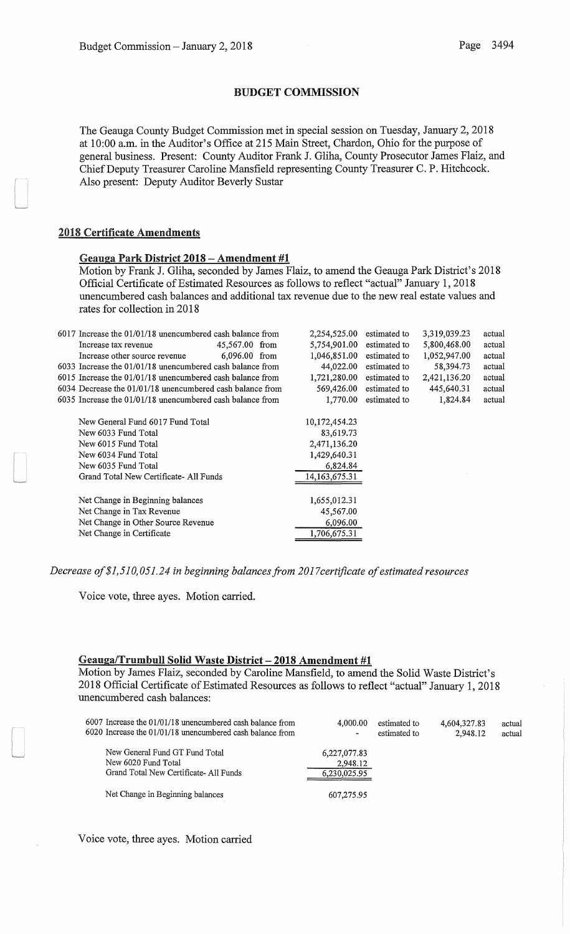## BUDGET COMMISSION

The Geauga County Budget Commission met in special session on Tuesday, January 2, 2018 at 10:00 a.m. in the Auditor's Office at 215 Main Street, Chardon, Ohio for the purpose of general business. Present: County Auditor Frank J. Gliha, County Prosecutor James Flaiz, and ChiefDeputy Treasurer Caroline Mansfield representing County Treasurer C. P. Hitchcock. Also present: Deputy Auditor Beverly Sustar

## 2018 Certificate Amendments

## Geauga Park District 2018- Amendment #1

Motion by Frank **J.** Gliha, seconded by James Flaiz, to amend the Geauga Park District's 2018 Official Certificate of Estimated Resources as follows to reflect "actual" January 1, 2018 unencumbered cash balances and additional tax revenue due to the new real estate values and rates for collection in 2018

| 6017 Increase the 01/01/18 unencumbered cash balance from   | 2,254,525.00     | estimated to | 3,319,039.23 | actual |
|-------------------------------------------------------------|------------------|--------------|--------------|--------|
| 45,567.00 from<br>Increase tax revenue                      | 5,754,901.00     | estimated to | 5,800,468.00 | actual |
| 6,096.00 from<br>Increase other source revenue              | 1,046,851.00     | estimated to | 1,052,947.00 | actual |
| 6033 Increase the 01/01/18 unencumbered cash balance from   | 44,022.00        | estimated to | 58,394.73    | actual |
| 6015 Increase the 01/01/18 unencumbered cash balance from   | 1,721,280.00     | estimated to | 2,421,136.20 | actual |
| 6034 Decrease the $01/01/18$ unencumbered cash balance from | 569,426.00       | estimated to | 445,640.31   | actual |
| 6035 Increase the 01/01/18 unencumbered cash balance from   | 1,770.00         | estimated to | 1,824.84     | actual |
| New General Fund 6017 Fund Total                            | 10,172,454.23    |              |              |        |
| New 6033 Fund Total                                         | 83,619.73        |              |              |        |
| New 6015 Fund Total                                         | 2,471,136.20     |              |              |        |
| New 6034 Fund Total                                         | 1,429,640.31     |              |              |        |
| New 6035 Fund Total                                         | 6,824.84         |              |              |        |
| Grand Total New Certificate-All Funds                       | 14, 163, 675. 31 |              |              |        |
| Net Change in Beginning balances                            | 1,655,012.31     |              |              |        |
| Net Change in Tax Revenue                                   | 45,567.00        |              |              |        |
| Net Change in Other Source Revenue                          | 6,096.00         |              |              |        |
| Net Change in Certificate                                   | 1,706,675.31     |              |              |        |
|                                                             |                  |              |              |        |

*Decrease of \$1,510, 051.24 in beginning balances from 2017 certificate of estimated resources* 

Voice vote, three ayes. Motion carried.

# Geauga/Trumbull Solid Waste District- **2018** Amendment #1

Motion by James Flaiz, seconded by Caroline Mansfield, to amend the Solid Waste District's 2018 Official Certificate of Estimated Resources as follows to reflect "actual" January 1, 2018 unencumbered cash balances:

| 6007 Increase the 01/01/18 unencumbered cash balance from<br>6020 Increase the 01/01/18 unencumbered cash balance from | 4,000.00<br>$\blacksquare$ | estimated to<br>estimated to | 4,604,327.83<br>2.948.12 | actual<br>actual |
|------------------------------------------------------------------------------------------------------------------------|----------------------------|------------------------------|--------------------------|------------------|
| New General Fund GT Fund Total<br>New 6020 Fund Total                                                                  | 6,227,077.83<br>2,948.12   |                              |                          |                  |
| Grand Total New Certificate-All Funds                                                                                  | 6,230,025.95               |                              |                          |                  |
| Net Change in Beginning balances                                                                                       | 607,275.95                 |                              |                          |                  |

Voice vote, three ayes. Motion carried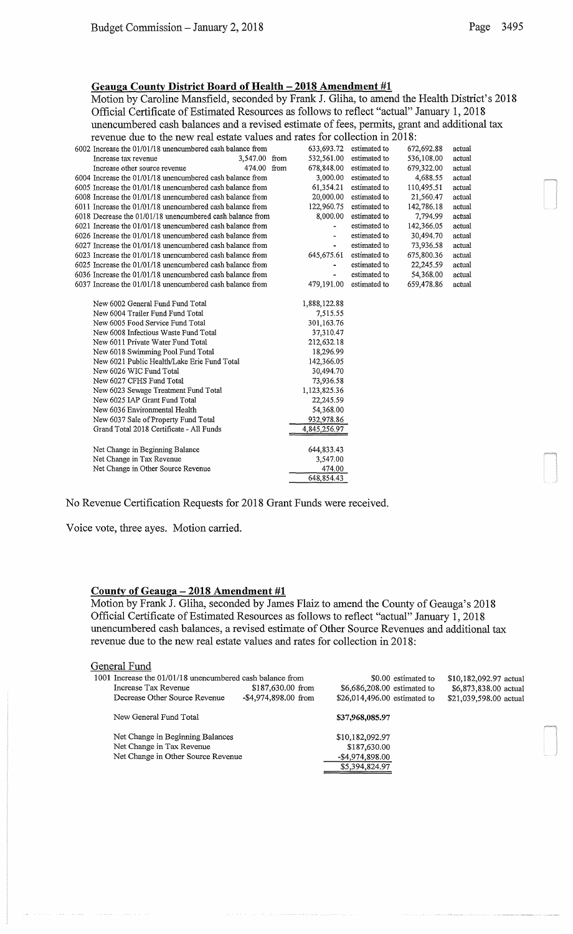# Geauga County District Board of Health - 2018 Amendment #1

Motion by Caroline Mansfield, seconded by Frank J. Gliha, to amend the Health District's 2018 Official Certificate of Estimated Resources as follows to reflect "actual" January 1, 2018 unencumbered cash balances and a revised estimate of fees, permits, grant and additional tax revenue due to the new real estate values and rates for collection in 2018:

| 6002 Increase the 01/01/18 unencumbered cash balance from | 633,693.72   | estimated to | 672,692.88 | actual |
|-----------------------------------------------------------|--------------|--------------|------------|--------|
| 3,547.00 from<br>Increase tax revenue                     | 532,561.00   | estimated to | 536,108.00 | actual |
| 474.00 from<br>Increase other source revenue              | 678,848.00   | estimated to | 679,322.00 | actual |
| 6004 Increase the 01/01/18 unencumbered cash balance from | 3,000.00     | estimated to | 4,688.55   | actual |
| 6005 Increase the 01/01/18 unencumbered cash balance from | 61,354.21    | estimated to | 110,495.51 | actual |
| 6008 Increase the 01/01/18 unencumbered cash balance from | 20,000.00    | estimated to | 21,560.47  | actual |
| 6011 Increase the 01/01/18 unencumbered cash balance from | 122,960.75   | estimated to | 142,786.18 | actual |
| 6018 Decrease the 01/01/18 unencumbered cash balance from | 8,000.00     | estimated to | 7,794.99   | actual |
| 6021 Increase the 01/01/18 unencumbered cash balance from |              | estimated to | 142,366.05 | actual |
| 6026 Increase the 01/01/18 unencumbered cash balance from |              | estimated to | 30,494.70  | actual |
| 6027 Increase the 01/01/18 unencumbered cash balance from | ä,           | estimated to | 73,936.58  | actual |
| 6023 Increase the 01/01/18 unencumbered cash balance from | 645,675.61   | estimated to | 675,800.36 | actual |
| 6025 Increase the 01/01/18 unencumbered cash balance from |              | estimated to | 22,245.59  | actual |
| 6036 Increase the 01/01/18 unencumbered cash balance from |              | estimated to | 54,368.00  | actual |
| 6037 Increase the 01/01/18 unencumbered cash balance from | 479,191.00   | estimated to | 659,478.86 | actual |
|                                                           |              |              |            |        |
| New 6002 General Fund Fund Total                          | 1,888,122.88 |              |            |        |
| New 6004 Trailer Fund Fund Total                          | 7,515.55     |              |            |        |
| New 6005 Food Service Fund Total                          | 301,163.76   |              |            |        |
| New 6008 Infectious Waste Fund Total                      | 37,310.47    |              |            |        |
| New 6011 Private Water Fund Total                         | 212,632.18   |              |            |        |
| New 6018 Swimming Pool Fund Total                         | 18,296.99    |              |            |        |
| New 6021 Public Health/Lake Erie Fund Total               | 142,366.05   |              |            |        |
| New 6026 WIC Fund Total                                   | 30,494.70    |              |            |        |
| New 6027 CFHS Fund Total                                  | 73,936.58    |              |            |        |
| New 6023 Sewage Treatment Fund Total                      | 1,123,825.36 |              |            |        |
| New 6025 IAP Grant Fund Total                             | 22,245.59    |              |            |        |
| New 6036 Environmental Health                             | 54,368.00    |              |            |        |
| New 6037 Sale of Property Fund Total                      | 932,978.86   |              |            |        |
| Grand Total 2018 Certificate - All Funds                  | 4,845,256.97 |              |            |        |
|                                                           |              |              |            |        |
| Net Change in Beginning Balance                           | 644,833.43   |              |            |        |
| Net Change in Tax Revenue                                 | 3,547.00     |              |            |        |
| Net Change in Other Source Revenue                        | 474.00       |              |            |        |
|                                                           | 648,854.43   |              |            |        |

## No Revenue Certification Requests for 2018 Grant Funds were received.

Voice vote, three ayes. Motion carried.

### County of Geauga - 2018 Amendment #1

Motion by Frank J. Gliha, seconded by James Flaiz to amend the County of Geauga's 2018 Official Certificate of Estimated Resources as follows to reflect "actual" January 1, 2018 unencumbered cash balances, a revised estimate of Other Source Revenues and additional tax revenue due to the new real estate values and rates for collection in 2018:

### General Fund

|                      | \$0.00 estimated to                                                                                                                                                                                                         | \$10,182,092.97 actual |
|----------------------|-----------------------------------------------------------------------------------------------------------------------------------------------------------------------------------------------------------------------------|------------------------|
| \$187,630.00 from    | \$6,686,208.00 estimated to                                                                                                                                                                                                 | \$6,873,838.00 actual  |
| -\$4,974,898.00 from | \$26,014,496.00 estimated to                                                                                                                                                                                                | \$21,039,598.00 actual |
|                      | \$37,968,085.97                                                                                                                                                                                                             |                        |
|                      | \$10,182,092.97                                                                                                                                                                                                             |                        |
|                      | \$187,630.00                                                                                                                                                                                                                |                        |
|                      | -\$4,974,898.00                                                                                                                                                                                                             |                        |
|                      | \$5,394,824.97                                                                                                                                                                                                              |                        |
|                      | 1001 Increase the 01/01/18 unencumbered cash balance from<br>Decrease Other Source Revenue<br>New General Fund Total<br>Net Change in Beginning Balances<br>Net Change in Tax Revenue<br>Net Change in Other Source Revenue |                        |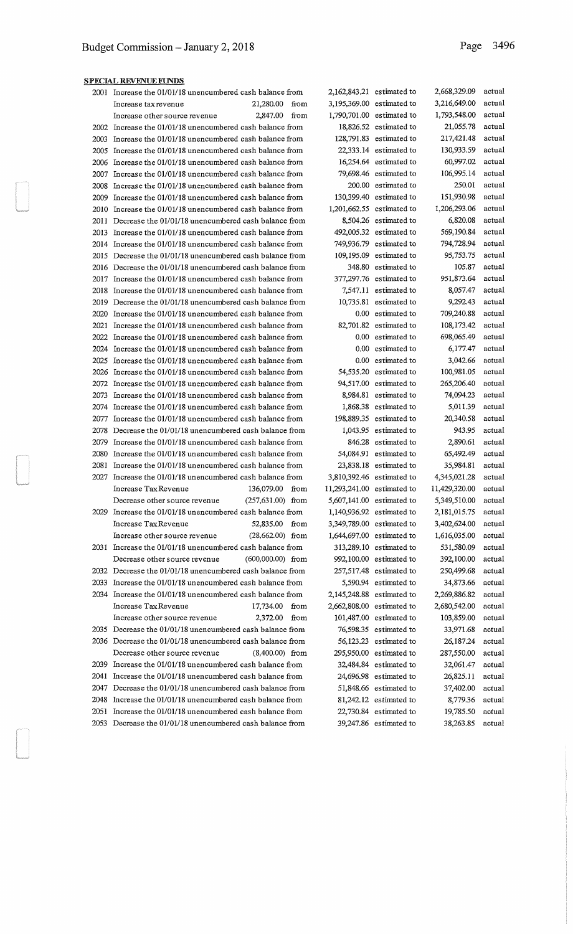|       | $100 + 100 + 010 = 0$<br>2001 Increase the 01/01/18 unencumbered cash balance from |                            | 2,162,843,21 estimated to | 2,668,329.09  | actual |
|-------|------------------------------------------------------------------------------------|----------------------------|---------------------------|---------------|--------|
|       | 21,280.00<br>Increase tax revenue                                                  | from                       | 3,195,369.00 estimated to | 3,216,649.00  | actual |
|       | 2,847.00<br>Increase other source revenue                                          | from                       | 1,790,701.00 estimated to | 1,793,548.00  | actual |
|       | 2002 Increase the 01/01/18 unencumbered cash balance from                          |                            | 18,826.52 estimated to    | 21,055.78     | actual |
| 2003  | Increase the 01/01/18 unencumbered cash balance from                               |                            | $128,791.83$ estimated to | 217,421.48    | actual |
| 2005  | Increase the 01/01/18 unencumbered cash balance from                               |                            | $22,333.14$ estimated to  | 130,933.59    | actual |
| 2006  | Increase the 01/01/18 unencumbered cash balance from                               |                            | $16,254.64$ estimated to  | 60,997.02     | actual |
| 2007  | Increase the 01/01/18 unencumbered cash balance from                               |                            | 79,698.46 estimated to    | 106,995.14    | actual |
| 2008  | Increase the 01/01/18 unencumbered cash balance from                               |                            | 200.00 estimated to       | 250.01        | actual |
|       | Increase the 01/01/18 unencumbered cash balance from                               |                            | $130,399.40$ estimated to | 151,930.98    | actual |
| 2009  |                                                                                    |                            | 1,201,662,55 estimated to | 1,206,293.06  | actual |
| 2010- | Increase the 01/01/18 unencumbered cash balance from                               |                            | 8,504.26 estimated to     | 6,820.08      |        |
| 2011  | Decrease the 01/01/18 unencumbered cash balance from                               |                            |                           |               | actual |
| 2013  | Increase the 01/01/18 unencumbered cash balance from                               |                            | 492,005.32 estimated to   | 569,190.84    | actual |
| 2014  | Increase the 01/01/18 unencumbered cash balance from                               |                            | 749,936.79 estimated to   | 794,728.94    | actual |
|       | 2015 Decrease the 01/01/18 unencumbered cash balance from                          |                            | $109,195.09$ estimated to | 95,753.75     | actual |
|       | 2016 Decrease the 01/01/18 unencumbered cash balance from                          |                            | 348.80 estimated to       | 105.87        | actual |
|       | 2017 Increase the 01/01/18 unencumbered cash balance from                          |                            | 377,297.76 estimated to   | 951,873.64    | actual |
|       | 2018 Increase the 01/01/18 unencumbered cash balance from                          |                            | 7,547.11 estimated to     | 8,057.47      | actual |
|       | 2019 Decrease the 01/01/18 unencumbered cash balance from                          |                            | $10,735.81$ estimated to  | 9,292.43      | actual |
| 2020  | Increase the 01/01/18 unencumbered cash balance from                               |                            | 0.00 estimated to         | 709,240.88    | actual |
| 2021  | Increase the 01/01/18 unencumbered cash balance from                               |                            | 82,701.82 estimated to    | 108,173.42    | actual |
| 2022  | Increase the 01/01/18 unencumbered cash balance from                               |                            | 0.00 estimated to         | 698,065.49    | actual |
| 2024  | Increase the 01/01/18 unencumbered cash balance from                               |                            | 0.00 estimated to         | 6,177.47      | actual |
| 2025  | Increase the 01/01/18 unencumbered cash balance from                               |                            | 0.00 estimated to         | 3,042.66      | actual |
| 2026  | Increase the 01/01/18 unencumbered cash balance from                               |                            | 54,535.20 estimated to    | 100,981.05    | actual |
|       | 2072 Increase the 01/01/18 unencumbered cash balance from                          |                            | 94,517.00 estimated to    | 265,206.40    | actual |
| 2073  | Increase the 01/01/18 unencumbered cash balance from                               |                            | 8,984.81 estimated to     | 74,094.23     | actual |
| 2074  | Increase the 01/01/18 unencumbered cash balance from                               |                            | 1,868.38 estimated to     | 5,011.39      | actual |
| 2077  | Increase the 01/01/18 unencumbered cash balance from                               |                            | $198,889.35$ estimated to | 20,340.58     | actual |
| 2078  | Decrease the 01/01/18 unencumbered cash balance from                               |                            | $1,043.95$ estimated to   | 943.95        | actual |
| 2079  | Increase the 01/01/18 unencumbered cash balance from                               |                            | 846.28 estimated to       | 2,890.61      | actual |
| 2080  | Increase the 01/01/18 unencumbered cash balance from                               |                            | 54,084.91 estimated to    | 65,492.49     | actual |
| 2081  | Increase the 01/01/18 unencumbered cash balance from                               |                            | $23,838.18$ estimated to  | 35,984.81     | actual |
| 2027  | Increase the 01/01/18 unencumbered cash balance from                               |                            | 3,810,392.46 estimated to | 4,345,021.28  | actual |
|       | Increase Tax Revenue<br>136,079.00 from                                            | 11,293,241.00 estimated to |                           | 11,429,320.00 | actual |
|       | (257,631.00) from<br>Decrease other source revenue                                 |                            | 5,607,141.00 estimated to | 5,349,510.00  | actual |
|       | 2029 Increase the 01/01/18 unencumbered cash balance from                          |                            | 1,140,936.92 estimated to | 2,181,015.75  | actual |
|       | Increase Tax Revenue<br>52,835.00 from                                             |                            | 3,349,789.00 estimated to | 3,402,624.00  | actual |
|       | Increase other source revenue<br>$(28,662.00)$ from                                |                            | 1,644,697.00 estimated to | 1,616,035.00  | actual |
|       | 2031 Increase the 01/01/18 unencumbered cash balance from                          |                            | 313,289.10 estimated to   | 531,580.09    | actual |
|       | Decrease other source revenue<br>$(600,000.00)$ from                               |                            | 992,100.00 estimated to   | 392,100.00    | actual |
|       | 2032 Decrease the 01/01/18 unencumbered cash balance from                          |                            | 257,517.48 estimated to   | 250,499.68    | actual |
|       | 2033 Increase the 01/01/18 unencumbered cash balance from                          |                            | 5,590.94 estimated to     | 34,873.66     | actual |
|       | 2034 Increase the 01/01/18 unencumbered cash balance from                          |                            | 2,145,248.88 estimated to | 2,269,886.82  | actual |
|       | Increase Tax Revenue<br>17,734.00                                                  | from                       | 2,662,808.00 estimated to | 2,680,542.00  | actual |
|       | 2,372.00<br>Increase other source revenue                                          | from                       | 101,487.00 estimated to   | 103,859.00    | actual |
|       | 2035 Decrease the 01/01/18 unencumbered cash balance from                          |                            | 76,598.35 estimated to    | 33,971.68     | actual |
|       | 2036 Decrease the 01/01/18 unencumbered cash balance from                          |                            | 56,123.23 estimated to    | 26,187.24     | actual |
|       | Decrease other source revenue<br>$(8,400.00)$ from                                 |                            | $295,950.00$ estimated to | 287,550.00    | actual |
|       | 2039 Increase the 01/01/18 unencumbered cash balance from                          |                            | 32,484.84 estimated to    | 32,061.47     | actual |
| 2041  | Increase the 01/01/18 unencumbered cash balance from                               |                            | 24,696.98 estimated to    | 26,825.11     | actual |
|       | 2047 Decrease the 01/01/18 unencumbered cash balance from                          |                            | 51,848.66 estimated to    | 37,402.00     | actual |
|       | 2048 Increase the 01/01/18 unencumbered cash balance from                          |                            | 81,242.12 estimated to    | 8,779.36      | actual |
| 2051  | Increase the 01/01/18 unencumbered cash balance from                               |                            | 22,730.84 estimated to    | 19,785.50     | actual |
|       |                                                                                    |                            |                           |               |        |
|       | 2053 Decrease the 01/01/18 unencumbered cash balance from                          |                            | 39,247.86 estimated to    | 38,263.85     | actual |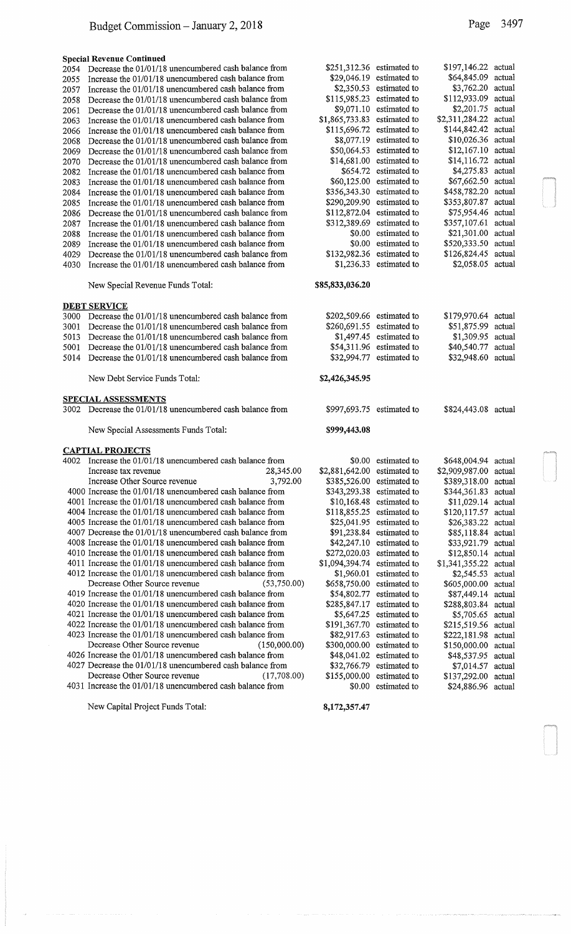#### Special Revenue Continued

| 2054 | Decrease the 01/01/18 unencumbered cash balance from | $$251,312.36$ estimated to |                           | \$197,146.22 actual   |        |
|------|------------------------------------------------------|----------------------------|---------------------------|-----------------------|--------|
| 2055 | Increase the 01/01/18 unencumbered cash balance from |                            | $$29.046.19$ estimated to | \$64,845.09 actual    |        |
| 2057 | Increase the 01/01/18 unencumbered cash balance from | \$2,350.53                 | estimated to              | \$3,762.20 actual     |        |
| 2058 | Decrease the 01/01/18 unencumbered cash balance from | \$115,985.23               | estimated to              | \$112,933.09 actual   |        |
| 2061 | Decrease the 01/01/18 unencumbered cash balance from |                            | $$9,071.10$ estimated to  | \$2,201.75 actual     |        |
| 2063 | Increase the 01/01/18 unencumbered cash balance from | \$1,865,733.83             | estimated to              | \$2,311,284.22 actual |        |
| 2066 | Increase the 01/01/18 unencumbered cash balance from | \$115,696.72               | estimated to              | \$144,842.42 actual   |        |
| 2068 | Decrease the 01/01/18 unencumbered cash balance from | \$8,077.19                 | estimated to              | \$10,026.36 actual    |        |
| 2069 | Decrease the 01/01/18 unencumbered cash balance from | \$50,064.53                | estimated to              | \$12,167.10 actual    |        |
| 2070 | Decrease the 01/01/18 unencumbered cash balance from |                            | $$14,681.00$ estimated to | \$14,116.72 actual    |        |
| 2082 | Increase the 01/01/18 unencumbered cash balance from |                            | \$654.72 estimated to     | \$4,275.83 actual     |        |
| 2083 | Increase the 01/01/18 unencumbered cash balance from |                            | $$60,125.00$ estimated to | \$67,662.50 actual    |        |
| 2084 | Increase the 01/01/18 unencumbered cash balance from | \$356,343.30               | estimated to              | \$458,782.20 actual   |        |
| 2085 | Increase the 01/01/18 unencumbered cash balance from | \$290,209.90               | estimated to              | \$353,807.87 actual   |        |
| 2086 | Decrease the 01/01/18 unencumbered cash balance from | $$112,872.04$ estimated to |                           | \$75,954.46 actual    |        |
| 2087 | Increase the 01/01/18 unencumbered cash balance from | \$312,389.69 estimated to  |                           | \$357,107.61 actual   |        |
| 2088 | Increase the 01/01/18 unencumbered cash balance from | \$0.00                     | estimated to              | \$21,301.00           | actual |
| 2089 | Increase the 01/01/18 unencumbered cash balance from | \$0.00                     | estimated to              | \$520,333.50 actual   |        |
| 4029 | Decrease the 01/01/18 unencumbered cash balance from | \$132,982.36 estimated to  |                           | \$126,824.45 actual   |        |
| 4030 | Increase the 01/01/18 unencumbered cash balance from |                            | $$1,236.33$ estimated to  | \$2,058.05 actual     |        |
|      |                                                      |                            |                           |                       |        |
|      |                                                      |                            |                           |                       |        |

New Special Revenue Funds Total: \$8

### DEBT SERVICE

- $3000$  Decrease the 01/01/18 unencumbered cash balance from
- 3001 Decrease the 01/01/18 unencumbered cash balance from
- 5013 Decrease the  $01/01/18$  unencumbered cash balance from 5001 Decrease the 01/01/18 unencumbered cash balance from
- 5014 Decrease the  $01/01/18$  unencumbered cash balance from

New Debt Service Funds Total:

#### SPECIAL ASSESSMENTS

 $3002$  Decrease the  $01/01/18$  unencumbered cash balance from

New Special Assessments Funds Total:

#### CAPTIAL PROJECTS

| 4002 | Increase the 01/01/18 unencumbered cash balance from      |              |                | \$0.00 estimated to       | \$648,004.94 actual   |  |
|------|-----------------------------------------------------------|--------------|----------------|---------------------------|-----------------------|--|
|      | Increase tax revenue                                      | 28,345.00    | \$2,881,642.00 | estimated to              | \$2,909,987.00 actual |  |
|      | Increase Other Source revenue                             | 3,792.00     | \$385,526.00   | estimated to              | \$389,318.00 actual   |  |
|      | 4000 Increase the 01/01/18 unencumbered cash balance from |              | \$343,293.38   | estimated to              | \$344,361.83 actual   |  |
|      | 4001 Increase the 01/01/18 unencumbered cash balance from |              | \$10,168.48    | estimated to              | \$11,029.14 actual    |  |
|      | 4004 Increase the 01/01/18 unencumbered cash balance from |              | \$118,855.25   | estimated to              | \$120,117.57 actual   |  |
|      | 4005 Increase the 01/01/18 unencumbered cash balance from |              | \$25,041.95    | estimated to              | \$26,383.22 actual    |  |
|      | 4007 Decrease the 01/01/18 unencumbered cash balance from |              |                | $$91,238.84$ estimated to | \$85,118.84 actual    |  |
|      | 4008 Increase the 01/01/18 unencumbered cash balance from |              |                | $$42,247.10$ estimated to | \$33,921.79 actual    |  |
|      | 4010 Increase the 01/01/18 unencumbered cash balance from |              | \$272,020.03   | estimated to              | \$12,850.14 actual    |  |
|      | 4011 Increase the 01/01/18 unencumbered cash balance from |              | \$1,094,394.74 | estimated to              | \$1,341,355.22 actual |  |
|      | 4012 Increase the 01/01/18 unencumbered cash balance from |              | \$1,960.01     | estimated to              | \$2,545.53 actual     |  |
|      | Decrease Other Source revenue (53,750.00)                 |              | \$658,750.00   | estimated to              | \$605,000.00 actual   |  |
|      | 4019 Increase the 01/01/18 unencumbered cash balance from |              | \$54,802.77    | estimated to              | \$87,449.14 actual    |  |
|      | 4020 Increase the 01/01/18 unencumbered cash balance from |              | \$285,847.17   | estimated to              | \$288,803.84 actual   |  |
|      | 4021 Increase the 01/01/18 unencumbered cash balance from |              | \$5,647.25     | estimated to              | \$5,705.65 actual     |  |
|      | 4022 Increase the 01/01/18 unencumbered cash balance from |              | \$191,367.70   | estimated to              | \$215,519.56 actual   |  |
|      | 4023 Increase the 01/01/18 unencumbered cash balance from |              | \$82,917.63    | estimated to              | \$222,181.98 actual   |  |
|      | Decrease Other Source revenue                             | (150,000.00) | \$300,000.00   | estimated to              | \$150,000.00 actual   |  |
|      | 4026 Increase the 01/01/18 unencumbered cash balance from |              | \$48,041.02    | estimated to              | \$48,537.95 actual    |  |
|      | 4027 Decrease the 01/01/18 unencumbered cash balance from |              |                | $$32,766.79$ estimated to | \$7,014.57 actual     |  |
|      | Decrease Other Source revenue                             | (17,708.00)  | \$155,000.00   | estimated to              | \$137,292.00 actual   |  |
|      | 4031 Increase the 01/01/18 unencumbered cash balance from |              |                | \$0.00 estimated to       | \$24,886.96 actual    |  |

New Capital Project Funds Total: 8,172,357.47

| Page | 3497 |
|------|------|
|------|------|

| 9251,512.50    | esumateu to         | 9197,140.22    | aouan  |
|----------------|---------------------|----------------|--------|
| \$29,046.19    | estimated to        | \$64,845.09    | actual |
| \$2,350.53     | estimated to        | \$3,762.20     | actual |
| \$115,985.23   | estimated to        | \$112,933.09   | actual |
| \$9,071.10     | estimated to        | \$2,201.75     | actual |
| \$1,865,733.83 | estimated to        | \$2,311,284.22 | actual |
|                |                     |                |        |
| \$115,696.72   | estimated to        | \$144,842.42   | actual |
| \$8,077.19     | estimated to        | \$10,026.36    | actual |
| \$50,064.53    | estimated to        | \$12,167.10    | actual |
| \$14,681.00    | estimated to        | \$14,116.72    | actual |
| \$654.72       | estimated to        | \$4,275.83     | actual |
| \$60,125.00    | estimated to        | \$67,662.50    | actual |
| \$356,343.30   | estimated to        | \$458,782.20   | actual |
| \$290,209.90   | estimated to        | \$353,807.87   | actual |
| \$112,872.04   | estimated to        | \$75,954.46    | actual |
| \$312,389.69   | estimated to        | \$357,107.61   | actual |
| \$0.00         | estimated to        | \$21,301.00    | actual |
|                |                     |                |        |
| \$0.00         | estimated to        | \$520,333.50   | actual |
| \$132,982.36   | estimated to        | \$126,824.45   | actual |
| \$1,236.33     | estimated to        | \$2,058.05     | actual |
|                |                     |                |        |
| 35,833,036.20  |                     |                |        |
|                |                     |                |        |
|                |                     |                |        |
| \$202,509.66   | estimated to        | \$179,970.64   | actual |
| \$260,691.55   | estimated to        | \$51,875.99    | actual |
| \$1,497.45     | estimated to        | \$1,309.95     | actual |
| \$54,311.96    | estimated to        | \$40,540.77    | actual |
| \$32,994.77    | estimated to        | \$32,948.60    | actual |
|                |                     |                |        |
|                |                     |                |        |
| \$2,426,345.95 |                     |                |        |
|                |                     |                |        |
|                |                     |                |        |
| \$997,693.75   | estimated to        | \$824,443.08   | actual |
|                |                     |                |        |
| \$999,443.08   |                     |                |        |
|                |                     |                |        |
|                |                     |                |        |
|                | \$0.00 estimated to | \$648,004.94   | actual |
| \$2,881,642.00 | estimated to        | \$2,909,987.00 | actual |
| \$385,526.00   | estimated to        | \$389,318.00   | actual |
| \$343,293.38   | estimated to        | \$344,361.83   | actual |
| \$10,168.48    | estimated to        | \$11,029.14    | actual |
| \$118,855.25   | estimated to        | \$120,117.57   | actual |
| \$25,041.95    | estimated to        | \$26,383.22    | actual |
|                |                     |                |        |
| \$91,238.84    | estimated to        | \$85,118.84    | actual |
| \$42,247.10    | estimated to        | \$33,921.79    | actual |
| \$272,020.03   | estimated to        | \$12,850.14    | actual |
| \$1,094,394.74 | estimated to        | \$1,341,355.22 | actual |
| \$1,960.01     | estimated to        | \$2,545.53     | actual |
| \$658,750.00   | estimated to        | \$605,000.00   | actual |
| \$54,802.77    | estimated to        | \$87,449.14    | actual |
| \$285,847.17   | estimated to        | \$288,803.84   | actual |
| \$5,647.25     | estimated to        | \$5,705.65     | actual |
| \$191,367.70   | estimated to        | \$215,519.56   | actual |
| \$82,917.63    | estimated to        | \$222,181.98   | actual |
| \$300,000.00   | estimated to        | \$150,000.00   | actual |
|                | estimated to        |                |        |
| \$48,041.02    |                     | \$48,537.95    | actual |
| \$32,766.79    | estimated to        | \$7,014.57     | actual |
| \$155,000.00   | estimated to        | \$137,292.00   | actual |
| \$0.00         | estimated to        | \$24,886.96    | actual |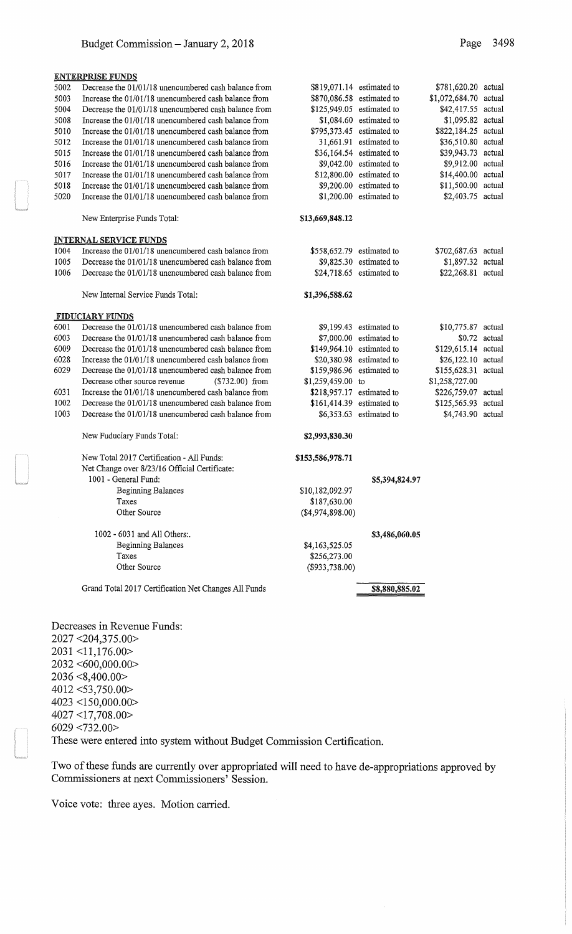| <b>ENTERPRISE FUNDS</b> |                                                           |  |  |  |  |
|-------------------------|-----------------------------------------------------------|--|--|--|--|
|                         | 5002 Decrease the 01/01/18 unencumbered cash balance from |  |  |  |  |
| ----                    |                                                           |  |  |  |  |

| 5003 | Increase the 01/01/18 unencumbered cash balance from  | \$870,086.58     | estim |
|------|-------------------------------------------------------|------------------|-------|
| 5004 | Decrease the 01/01/18 unencumbered cash balance from  | \$125,949.05     | estim |
| 5008 | Increase the 01/01/18 unencumbered cash balance from  | \$1,084.60       | estim |
| 5010 | Increase the 01/01/18 unencumbered cash balance from  | \$795,373.45     | estim |
| 5012 | Increase the 01/01/18 unencumbered cash balance from  | 31,661.91        | estim |
| 5015 | Increase the 01/01/18 unencumbered cash balance from  | \$36,164.54      | estim |
| 5016 | Increase the 01/01/18 unencumbered cash balance from  | \$9,042.00       | estim |
| 5017 | Increase the 01/01/18 unencumbered cash balance from  | \$12,800.00      | estim |
| 5018 | Increase the 01/01/18 unencumbered cash balance from  | \$9,200.00       | estim |
| 5020 | Increase the 01/01/18 unencumbered cash balance from  | \$1,200.00       | estim |
|      | New Enterprise Funds Total:                           | \$13,669,848.12  |       |
|      | <b>INTERNAL SERVICE FUNDS</b>                         |                  |       |
| 1004 | Increase the 01/01/18 unencumbered cash balance from  | \$558,652.79     | estim |
| 1005 | Decrease the 01/01/18 unencumbered cash balance from  | \$9,825.30       | estim |
| 1006 | Decrease the 01/01/18 unencumbered cash balance from  | \$24,718.65      | estim |
|      | New Internal Service Funds Total:                     | \$1,396,588.62   |       |
|      | <b>FIDUCIARY FUNDS</b>                                |                  |       |
| 6001 | Decrease the 01/01/18 unencumbered cash balance from  | \$9,199.43       | estim |
| 6003 | Decrease the 01/01/18 unencumbered cash balance from  | \$7,000.00       | estim |
| 6009 | Decrease the 01/01/18 unencumbered cash balance from  | \$149,964.10     | estim |
| 6028 | Increase the 01/01/18 unencumbered cash balance from  | \$20,380.98      | estim |
| 6029 | Decrease the 01/01/18 unencumbered cash balance from  | \$159,986.96     | estim |
|      | Decrease other source revenue<br>$(\$732.00)$ from    | \$1,259,459.00   | to    |
| 6031 | Increase the 01/01/18 unencumbered cash balance from  | \$218,957.17     | estim |
| 1002 | Decrease the 01/01/18 unencumbered cash balance from  | \$161,414.39     | estim |
| 1003 | Decrease the 01/01/18 unencumbered cash balance from  | \$6,353.63       | estim |
|      | New Fuduciary Funds Total:                            | \$2,993,830.30   |       |
|      | New Total 2017 Certification - All Funds:             | \$153,586,978.71 |       |
|      | Net Change over 8/23/16 Official Certificate:         |                  |       |
|      | 1001 - General Fund:                                  |                  | \$    |
|      | <b>Beginning Balances</b>                             | \$10,182,092.97  |       |
|      | Taxes                                                 | \$187,630.00     |       |
|      | Other Source                                          | (\$4,974,898.00) |       |
|      | 1002 - 6031 and All Others:.                          |                  | \$    |
|      | <b>Beginning Balances</b>                             | \$4,163,525.05   |       |
|      | Taxes                                                 | \$256,273.00     |       |
|      | Other Source                                          | $(\$933,738.00)$ |       |
|      | $2mn\lambda\text{ Test}12017\text{ Castle}1217\text{$ |                  |       |

Grand Total 2017 Certification Net Changes All Funds

Decreases in Revenue Funds:

2027 <204,375.00> 2031 <11,176.00> 2032 <600,000.00> 2036 <8,400.00> 4012 <53,750.00> 4023 <150,000.00> 4027 <17, 708.00> 6029 <732.00> These were entered into system without Budget Commission Certification.

Two of these funds are currently over appropriated will need to have de-appropriations approved by Commissioners at next Commissioners' Session.

Voice vote: three ayes. Motion carried.

| \$819,071.14     | estimated to   | \$781,620.20   | actual |
|------------------|----------------|----------------|--------|
| \$870,086.58     | estimated to   | \$1,072,684.70 | actual |
| \$125,949.05     | estimated to   | \$42,417.55    | actual |
| \$1,084.60       | estimated to   | \$1,095.82     | actual |
| \$795,373.45     | estimated to   | \$822,184.25   | actual |
| 31,661.91        | estimated to   | \$36,510.80    | actual |
| \$36,164.54      | estimated to   | \$39,943.73    | actual |
| \$9,042.00       | estimated to   | \$9,912.00     | actual |
| \$12,800.00      | estimated to   | \$14,400.00    | actual |
| \$9,200.00       | estimated to   | \$11,500.00    | actual |
| \$1,200.00       | estimated to   | \$2,403.75     | actual |
| \$13,669,848.12  |                |                |        |
|                  |                |                |        |
| \$558,652.79     | estimated to   | \$702,687.63   | actual |
| \$9,825.30       | estimated to   | \$1,897.32     | actual |
| \$24,718.65      | estimated to   | \$22,268.81    | actual |
| \$1,396,588.62   |                |                |        |
|                  |                |                |        |
| \$9,199.43       | estimated to   | \$10,775.87    | actual |
| \$7,000.00       | estimated to   | \$0.72         | actual |
| \$149,964.10     | estimated to   | \$129,615.14   | actual |
| \$20,380.98      | estimated to   | \$26,122.10    | actual |
| \$159,986.96     | estimated to   | \$155,628.31   | actual |
| \$1,259,459.00   | to             | \$1,258,727.00 |        |
| \$218,957.17     | estimated to   | \$226,759.07   | actual |
| \$161,414.39     | estimated to   | \$125,565.93   | actual |
| \$6,353.63       | estimated to   | \$4,743.90     | actual |
| \$2,993,830.30   |                |                |        |
| 153,586,978.71   |                |                |        |
|                  | \$5,394,824.97 |                |        |
| \$10,182,092.97  |                |                |        |
| \$187,630.00     |                |                |        |
| (\$4,974,898.00) |                |                |        |
|                  |                |                |        |

\$3,486,060.05

\$8,880,885.02